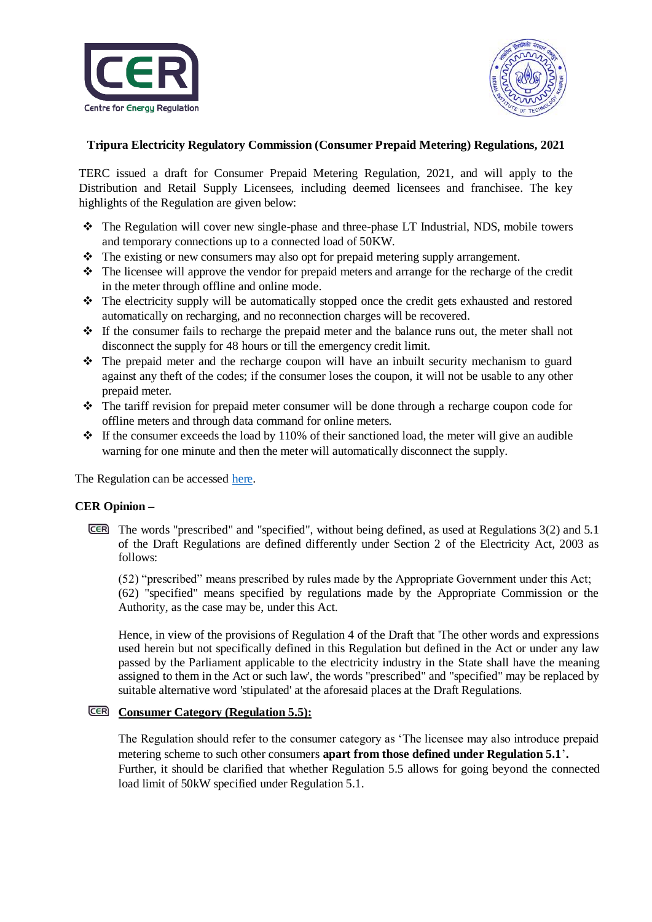



# **Tripura Electricity Regulatory Commission (Consumer Prepaid Metering) Regulations, 2021**

TERC issued a draft for Consumer Prepaid Metering Regulation, 2021, and will apply to the Distribution and Retail Supply Licensees, including deemed licensees and franchisee. The key highlights of the Regulation are given below:

- The Regulation will cover new single-phase and three-phase LT Industrial, NDS, mobile towers and temporary connections up to a connected load of 50KW.
- $\div$  The existing or new consumers may also opt for prepaid metering supply arrangement.
- $\cdot \cdot$  The licensee will approve the vendor for prepaid meters and arrange for the recharge of the credit in the meter through offline and online mode.
- \* The electricity supply will be automatically stopped once the credit gets exhausted and restored automatically on recharging, and no reconnection charges will be recovered.
- $\div$  If the consumer fails to recharge the prepaid meter and the balance runs out, the meter shall not disconnect the supply for 48 hours or till the emergency credit limit.
- The prepaid meter and the recharge coupon will have an inbuilt security mechanism to guard against any theft of the codes; if the consumer loses the coupon, it will not be usable to any other prepaid meter.
- The tariff revision for prepaid meter consumer will be done through a recharge coupon code for offline meters and through data command for online meters.
- $\div$  If the consumer exceeds the load by 110% of their sanctioned load, the meter will give an audible warning for one minute and then the meter will automatically disconnect the supply.

The Regulation can be accessed [here.](../../TERC/Jan-Mar,%202021/Draft_Regulation_mfor_Prepaid_Metering-converted_0.pdf)

### **CER Opinion –**

The words "prescribed" and "specified", without being defined, as used at Regulations 3(2) and 5.1 of the Draft Regulations are defined differently under Section 2 of the Electricity Act, 2003 as follows:

(52) "prescribed" means prescribed by rules made by the Appropriate Government under this Act; (62) "specified" means specified by regulations made by the Appropriate Commission or the Authority, as the case may be, under this Act.

Hence, in view of the provisions of Regulation 4 of the Draft that 'The other words and expressions used herein but not specifically defined in this Regulation but defined in the Act or under any law passed by the Parliament applicable to the electricity industry in the State shall have the meaning assigned to them in the Act or such law', the words "prescribed" and "specified" may be replaced by suitable alternative word 'stipulated' at the aforesaid places at the Draft Regulations.

### **CER** Consumer Category (Regulation 5.5):

The Regulation should refer to the consumer category as 'The licensee may also introduce prepaid metering scheme to such other consumers **apart from those defined under Regulation 5.1**'**.** Further, it should be clarified that whether Regulation 5.5 allows for going beyond the connected load limit of 50kW specified under Regulation 5.1.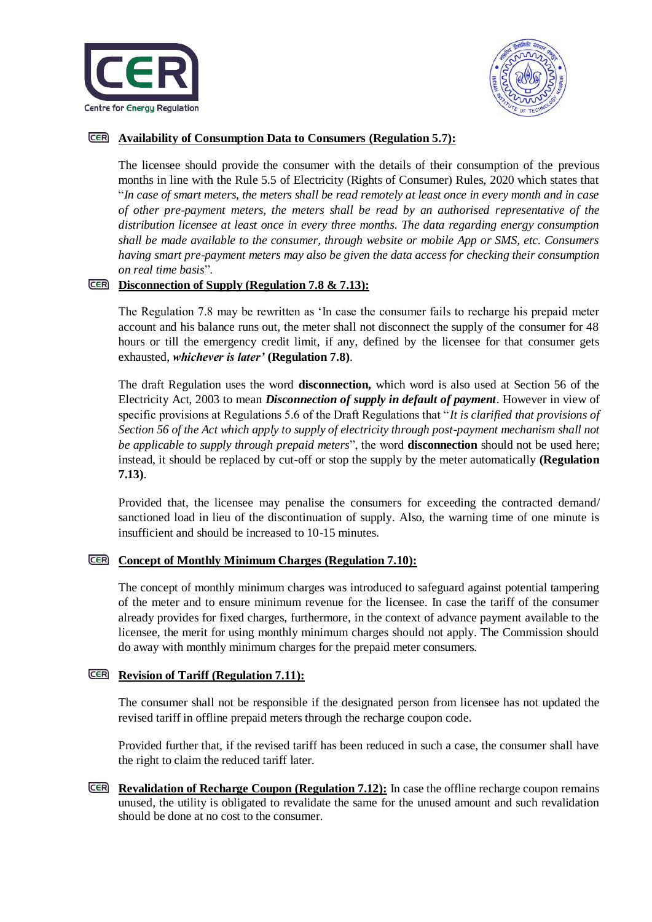



## **Availability of Consumption Data to Consumers (Regulation 5.7):**

The licensee should provide the consumer with the details of their consumption of the previous months in line with the Rule 5.5 of Electricity (Rights of Consumer) Rules, 2020 which states that "*In case of smart meters, the meters shall be read remotely at least once in every month and in case of other pre-payment meters, the meters shall be read by an authorised representative of the distribution licensee at least once in every three months. The data regarding energy consumption shall be made available to the consumer, through website or mobile App or SMS, etc. Consumers having smart pre-payment meters may also be given the data access for checking their consumption on real time basis*".

### **Disconnection of Supply (Regulation 7.8 & 7.13):**

The Regulation 7.8 may be rewritten as 'In case the consumer fails to recharge his prepaid meter account and his balance runs out, the meter shall not disconnect the supply of the consumer for 48 hours or till the emergency credit limit, if any, defined by the licensee for that consumer gets exhausted, *whichever is later'* **(Regulation 7.8)**.

The draft Regulation uses the word **disconnection,** which word is also used at Section 56 of the Electricity Act, 2003 to mean *Disconnection of supply in default of payment*. However in view of specific provisions at Regulations 5.6 of the Draft Regulations that "*It is clarified that provisions of Section 56 of the Act which apply to supply of electricity through post-payment mechanism shall not be applicable to supply through prepaid meters*", the word **disconnection** should not be used here; instead, it should be replaced by cut-off or stop the supply by the meter automatically **(Regulation 7.13)**.

Provided that, the licensee may penalise the consumers for exceeding the contracted demand/ sanctioned load in lieu of the discontinuation of supply. Also, the warning time of one minute is insufficient and should be increased to 10-15 minutes.

### **Concept of Monthly Minimum Charges (Regulation 7.10):**

The concept of monthly minimum charges was introduced to safeguard against potential tampering of the meter and to ensure minimum revenue for the licensee. In case the tariff of the consumer already provides for fixed charges, furthermore, in the context of advance payment available to the licensee, the merit for using monthly minimum charges should not apply. The Commission should do away with monthly minimum charges for the prepaid meter consumers.

### **<u>CER** Revision of Tariff (Regulation 7.11):</u>

The consumer shall not be responsible if the designated person from licensee has not updated the revised tariff in offline prepaid meters through the recharge coupon code.

Provided further that, if the revised tariff has been reduced in such a case, the consumer shall have the right to claim the reduced tariff later.

**Revalidation of Recharge Coupon (Regulation 7.12):** In case the offline recharge coupon remains unused, the utility is obligated to revalidate the same for the unused amount and such revalidation should be done at no cost to the consumer.